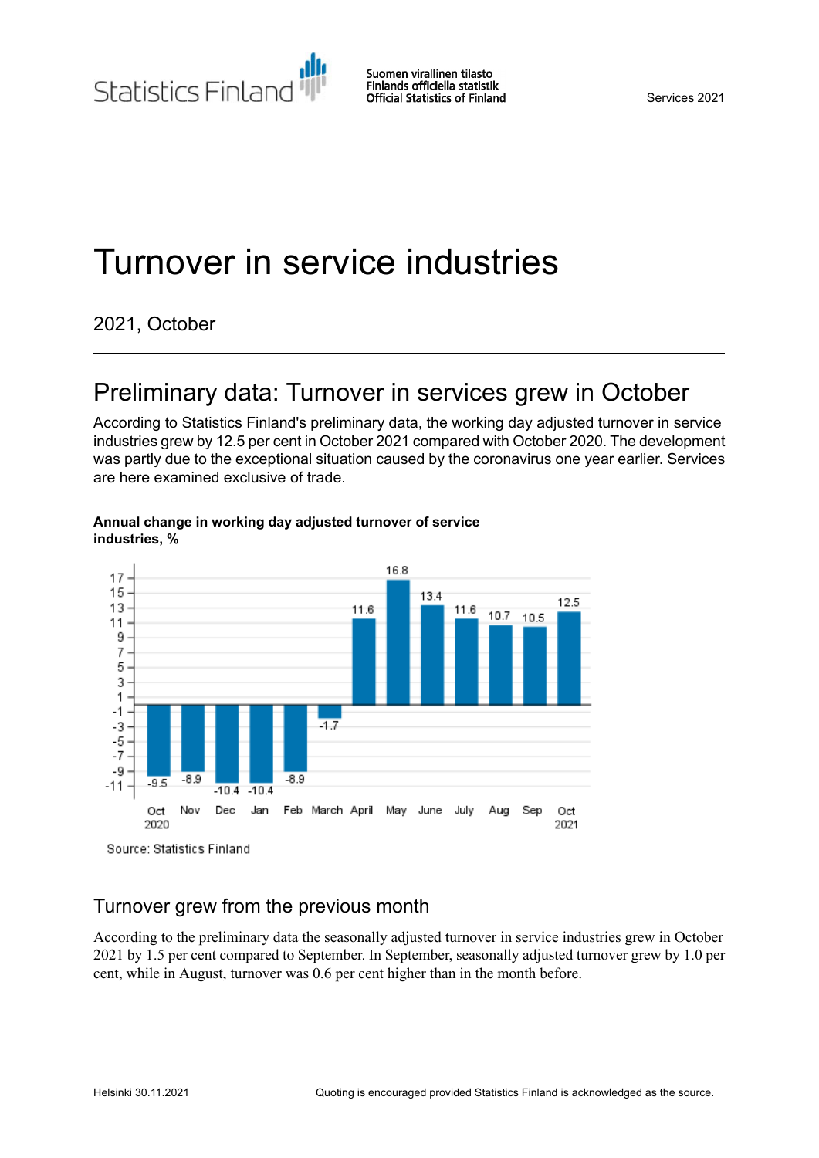Statistics Finland

Services 2021

# Turnover in service industries

2021, October

### Preliminary data: Turnover in services grew in October

According to Statistics Finland's preliminary data, the working day adjusted turnover in service industries grew by 12.5 per cent in October 2021 compared with October 2020. The development was partly due to the exceptional situation caused by the coronavirus one year earlier. Services are here examined exclusive of trade.



#### **Annual change in working day adjusted turnover of service industries, %**

### Turnover grew from the previous month

According to the preliminary data the seasonally adjusted turnover in service industries grew in October 2021 by 1.5 per cent compared to September. In September, seasonally adjusted turnover grew by 1.0 per cent, while in August, turnover was 0.6 per cent higher than in the month before.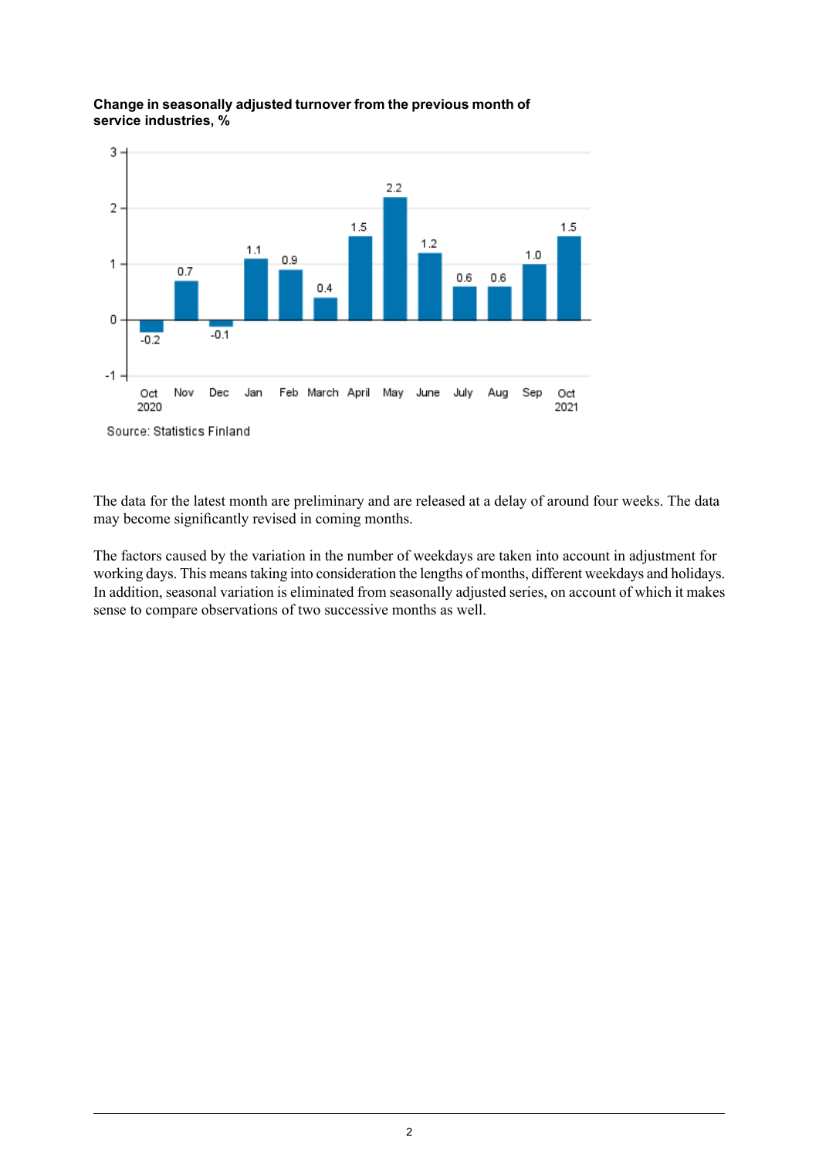

#### **Change in seasonally adjusted turnover from the previous month of service industries, %**

The data for the latest month are preliminary and are released at a delay of around four weeks. The data may become significantly revised in coming months.

The factors caused by the variation in the number of weekdays are taken into account in adjustment for working days. This meanstaking into consideration the lengths of months, different weekdays and holidays. In addition, seasonal variation is eliminated from seasonally adjusted series, on account of which it makes sense to compare observations of two successive months as well.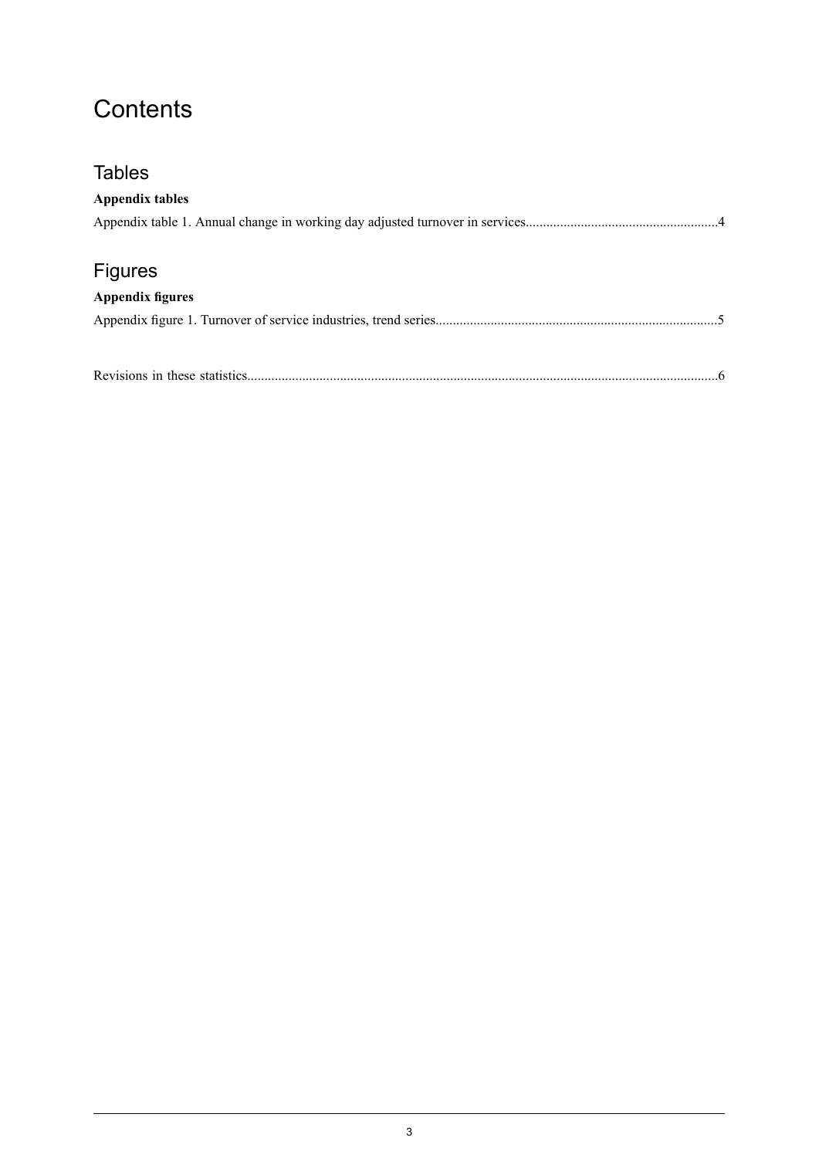### **Contents**

| <b>Tables</b>           |  |
|-------------------------|--|
| <b>Appendix tables</b>  |  |
|                         |  |
|                         |  |
| <b>Figures</b>          |  |
| <b>Appendix figures</b> |  |
|                         |  |
|                         |  |
|                         |  |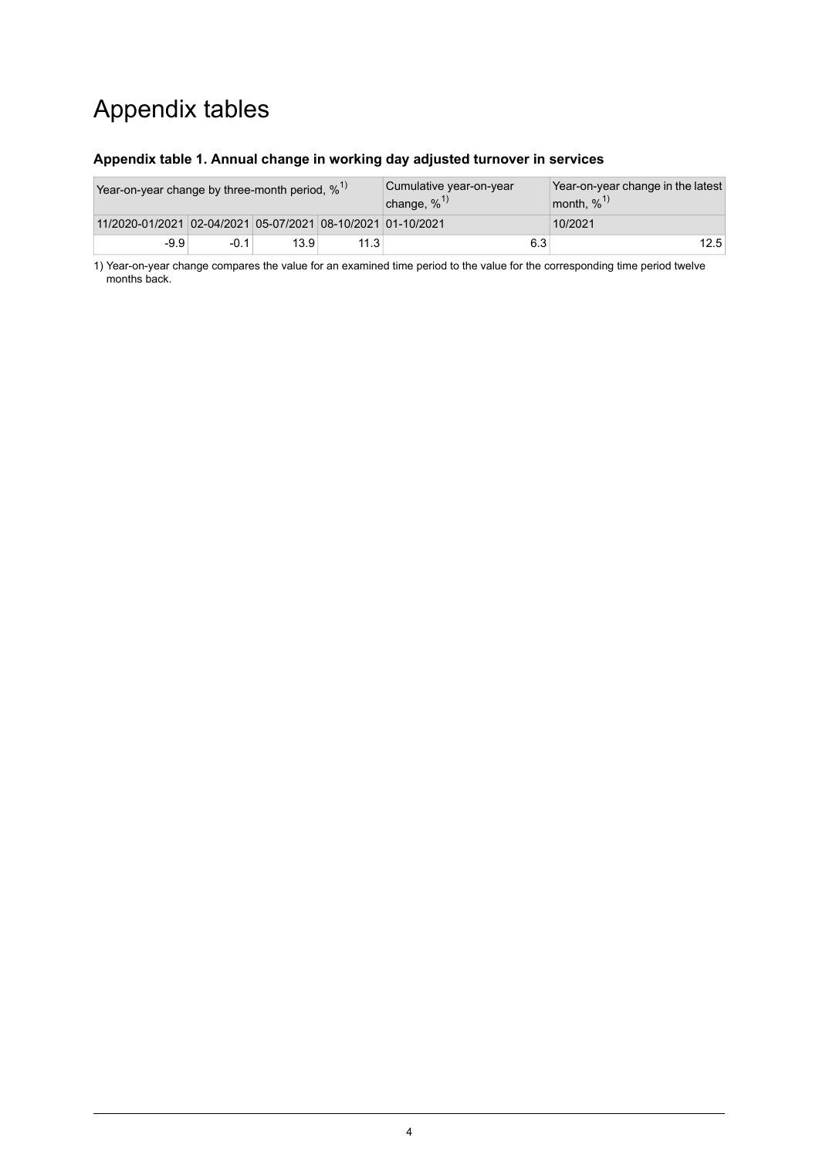### Appendix tables

#### <span id="page-3-0"></span>**Appendix table 1. Annual change in working day adjusted turnover in services**

| Year-on-year change by three-month period, $\%$ <sup>1)</sup> |        |      |      | Cumulative year-on-year<br>change, $\%$ <sup>1)</sup> | Year-on-year change in the latest<br>month, $\%$ <sup>1)</sup> |  |  |
|---------------------------------------------------------------|--------|------|------|-------------------------------------------------------|----------------------------------------------------------------|--|--|
| 11/2020-01/2021 02-04/2021 05-07/2021 08-10/2021 01-10/2021   |        |      |      |                                                       | 10/2021                                                        |  |  |
| $-9.9$                                                        | $-0.1$ | 13.9 | 11.3 | 6.3                                                   | 12.5                                                           |  |  |

1) Year-on-year change compares the value for an examined time period to the value for the corresponding time period twelve months back.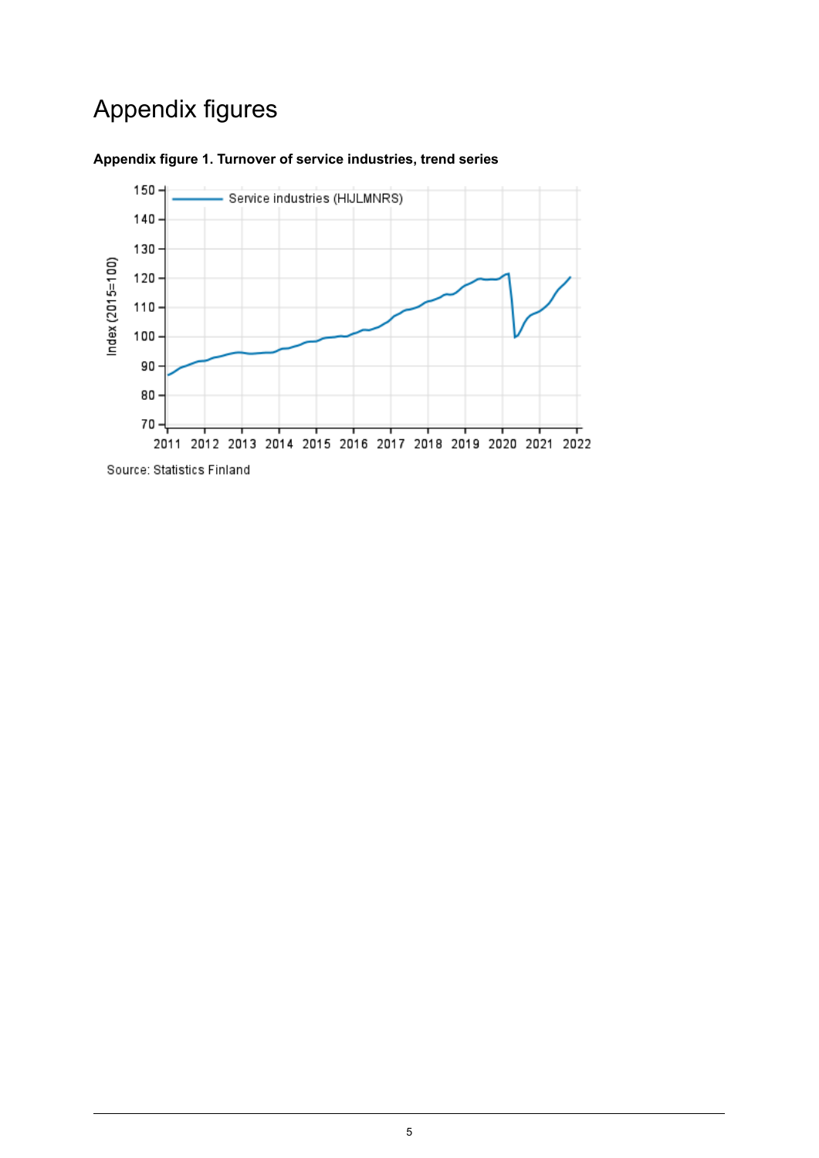## Appendix figures



#### <span id="page-4-0"></span>**Appendix figure 1. Turnover of service industries, trend series**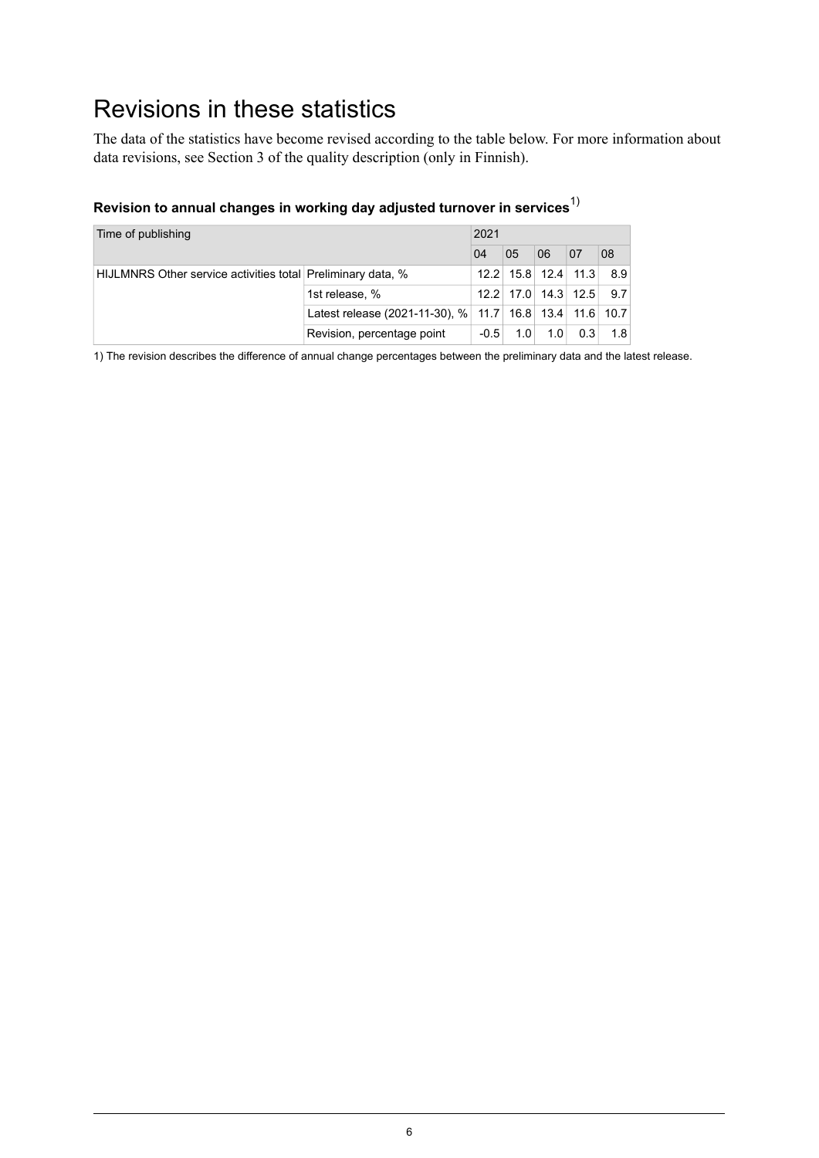### <span id="page-5-0"></span>Revisions in these statistics

The data of the statistics have become revised according to the table below. For more information about data revisions, see Section 3 of the quality description (only in Finnish).

|  |  | Revision to annual changes in working day adjusted turnover in services $^{\prime\prime}$ |  |
|--|--|-------------------------------------------------------------------------------------------|--|
|  |  |                                                                                           |  |

| Time of publishing                                          |                                                         | 2021   |     |           |                             |     |  |
|-------------------------------------------------------------|---------------------------------------------------------|--------|-----|-----------|-----------------------------|-----|--|
|                                                             |                                                         |        | 05  | 06        | 07                          | 08  |  |
| HIJLMNRS Other service activities total Preliminary data, % |                                                         |        |     |           | $12.2$   15.8   12.4   11.3 | 8.9 |  |
|                                                             | 1st release, %                                          |        |     |           | $12.2$   17.0   14.3   12.5 | 9.7 |  |
|                                                             | Latest release (2021-11-30), % 11.7 16.8 13.4 11.6 10.7 |        |     |           |                             |     |  |
|                                                             | Revision, percentage point                              | $-0.5$ | 1.0 | $1.0^{+}$ | 0.3                         | 1.8 |  |

1) The revision describes the difference of annual change percentages between the preliminary data and the latest release.